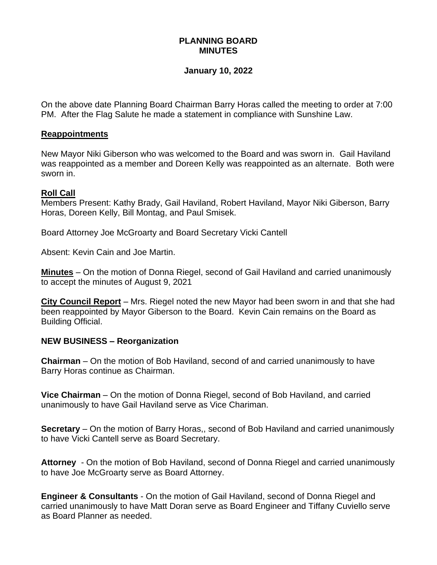# **PLANNING BOARD MINUTES**

## **January 10, 2022**

On the above date Planning Board Chairman Barry Horas called the meeting to order at 7:00 PM. After the Flag Salute he made a statement in compliance with Sunshine Law.

#### **Reappointments**

New Mayor Niki Giberson who was welcomed to the Board and was sworn in. Gail Haviland was reappointed as a member and Doreen Kelly was reappointed as an alternate. Both were sworn in.

## **Roll Call**

Members Present: Kathy Brady, Gail Haviland, Robert Haviland, Mayor Niki Giberson, Barry Horas, Doreen Kelly, Bill Montag, and Paul Smisek.

Board Attorney Joe McGroarty and Board Secretary Vicki Cantell

Absent: Kevin Cain and Joe Martin.

**Minutes** – On the motion of Donna Riegel, second of Gail Haviland and carried unanimously to accept the minutes of August 9, 2021

**City Council Report** – Mrs. Riegel noted the new Mayor had been sworn in and that she had been reappointed by Mayor Giberson to the Board. Kevin Cain remains on the Board as Building Official.

# **NEW BUSINESS – Reorganization**

**Chairman** – On the motion of Bob Haviland, second of and carried unanimously to have Barry Horas continue as Chairman.

**Vice Chairman** – On the motion of Donna Riegel, second of Bob Haviland, and carried unanimously to have Gail Haviland serve as Vice Chariman.

**Secretary** – On the motion of Barry Horas,, second of Bob Haviland and carried unanimously to have Vicki Cantell serve as Board Secretary.

**Attorney** - On the motion of Bob Haviland, second of Donna Riegel and carried unanimously to have Joe McGroarty serve as Board Attorney.

**Engineer & Consultants** - On the motion of Gail Haviland, second of Donna Riegel and carried unanimously to have Matt Doran serve as Board Engineer and Tiffany Cuviello serve as Board Planner as needed.